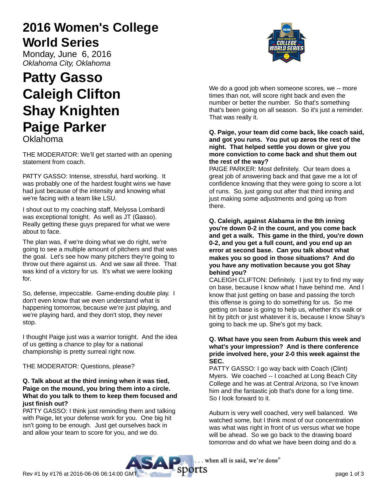# **2016 Women's College World Series**

Monday, June 6, 2016 Oklahoma City, Oklahoma

# **Patty Gasso Caleigh Clifton Shay Knighten Paige Parker** Oklahoma

THE MODERATOR: We'll get started with an opening statement from coach.

PATTY GASSO: Intense, stressful, hard working. It was probably one of the hardest fought wins we have had just because of the intensity and knowing what we're facing with a team like LSU.

I shout out to my coaching staff, Melyssa Lombardi was exceptional tonight. As well as JT (Gasso). Really getting these guys prepared for what we were about to face.

The plan was, if we're doing what we do right, we're going to see a multiple amount of pitchers and that was the goal. Let's see how many pitchers they're going to throw out there against us. And we saw all three. That was kind of a victory for us. It's what we were looking for.

So, defense, impeccable. Game-ending double play. I don't even know that we even understand what is happening tomorrow, because we're just playing, and we're playing hard, and they don't stop, they never stop.

I thought Paige just was a warrior tonight. And the idea of us getting a chance to play for a national championship is pretty surreal right now.

THE MODERATOR: Questions, please?

# **Q. Talk about at the third inning when it was tied, Paige on the mound, you bring them into a circle. What do you talk to them to keep them focused and just finish out?**

PATTY GASSO: I think just reminding them and talking with Paige, let your defense work for you. One big hit isn't going to be enough. Just get ourselves back in and allow your team to score for you, and we do.



We do a good job when someone scores, we -- more times than not, will score right back and even the number or better the number. So that's something that's been going on all season. So it's just a reminder. That was really it.

# **Q. Paige, your team did come back, like coach said, and got you runs. You put up zeros the rest of the night. That helped settle you down or give you more conviction to come back and shut them out the rest of the way?**

PAIGE PARKER: Most definitely. Our team does a great job of answering back and that gave me a lot of confidence knowing that they were going to score a lot of runs. So, just going out after that third inning and just making some adjustments and going up from there.

# **Q. Caleigh, against Alabama in the 8th inning you're down 0-2 in the count, and you come back and get a walk. This game in the third, you're down 0-2, and you get a full count, and you end up an error at second base. Can you talk about what makes you so good in those situations? And do you have any motivation because you got Shay behind you?**

CALEIGH CLIFTON: Definitely. I just try to find my way on base, because I know what I have behind me. And I know that just getting on base and passing the torch this offense is going to do something for us. So me getting on base is going to help us, whether it's walk or hit by pitch or just whatever it is, because I know Shay's going to back me up. She's got my back.

# **Q. What have you seen from Auburn this week and what's your impression? And is there conference pride involved here, your 2-0 this week against the SEC.**

PATTY GASSO: I go way back with Coach (Clint) Myers. We coached -- I coached at Long Beach City College and he was at Central Arizona, so I've known him and the fantastic job that's done for a long time. So I look forward to it.

Auburn is very well coached, very well balanced. We watched some, but I think most of our concentration was what was right in front of us versus what we hope will be ahead. So we go back to the drawing board tomorrow and do what we have been doing and do a

. when all is said, we're done"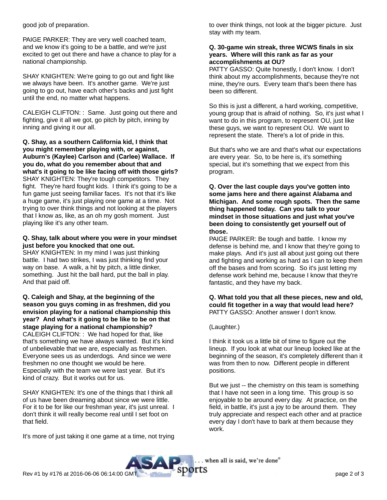good job of preparation.

PAIGE PARKER: They are very well coached team, and we know it's going to be a battle, and we're just excited to get out there and have a chance to play for a national championship.

SHAY KNIGHTEN: We're going to go out and fight like we always have been. It's another game. We're just going to go out, have each other's backs and just fight until the end, no matter what happens.

CALEIGH CLIFTON: : Same. Just going out there and fighting, give it all we got, go pitch by pitch, inning by inning and giving it our all.

**Q. Shay, as a southern California kid, I think that you might remember playing with, or against, Auburn's (Kaylee) Carlson and (Carlee) Wallace. If you do, what do you remember about that and what's it going to be like facing off with those girls?** SHAY KNIGHTEN: They're tough competitors. They fight. They're hard fought kids. I think it's going to be a fun game just seeing familiar faces. It's not that it's like a huge game, it's just playing one game at a time. Not trying to over think things and not looking at the players that I know as, like, as an oh my gosh moment. Just playing like it's any other team.

# **Q. Shay, talk about where you were in your mindset just before you knocked that one out.**

SHAY KNIGHTEN: In my mind I was just thinking battle. I had two strikes, I was just thinking find your way on base. A walk, a hit by pitch, a little dinker, something. Just hit the ball hard, put the ball in play. And that paid off.

**Q. Caleigh and Shay, at the beginning of the season you guys coming in as freshmen, did you envision playing for a national championship this year? And what's it going to be like to be on that stage playing for a national championship?** CALEIGH CLIFTON: : We had hoped for that, like that's something we have always wanted. But it's kind of unbelievable that we are, especially as freshmen. Everyone sees us as underdogs. And since we were freshmen no one thought we would be here. Especially with the team we were last year. But it's kind of crazy. But it works out for us.

SHAY KNIGHTEN: It's one of the things that I think all of us have been dreaming about since we were little. For it to be for like our freshman year, it's just unreal. I don't think it will really become real until I set foot on that field.

It's more of just taking it one game at a time, not trying

to over think things, not look at the bigger picture. Just stay with my team.

# **Q. 30-game win streak, three WCWS finals in six years. Where will this rank as far as your accomplishments at OU?**

PATTY GASSO: Quite honestly, I don't know. I don't think about my accomplishments, because they're not mine, they're ours. Every team that's been there has been so different.

So this is just a different, a hard working, competitive, young group that is afraid of nothing. So, it's just what I want to do in this program, to represent OU, just like these guys, we want to represent OU. We want to represent the state. There's a lot of pride in this.

But that's who we are and that's what our expectations are every year. So, to be here is, it's something special, but it's something that we expect from this program.

**Q. Over the last couple days you've gotten into some jams here and there against Alabama and Michigan. And some rough spots. Then the same thing happened today. Can you talk to your mindset in those situations and just what you've been doing to consistently get yourself out of those.**

PAIGE PARKER: Be tough and battle. I know my defense is behind me, and I know that they're going to make plays. And it's just all about just going out there and fighting and working as hard as I can to keep them off the bases and from scoring. So it's just letting my defense work behind me, because I know that they're fantastic, and they have my back.

## **Q. What told you that all these pieces, new and old, could fit together in a way that would lead here?** PATTY GASSO: Another answer I don't know.

# (Laughter.)

I think it took us a little bit of time to figure out the lineup. If you look at what our lineup looked like at the beginning of the season, it's completely different than it was from then to now. Different people in different positions.

But we just -- the chemistry on this team is something that I have not seen in a long time. This group is so enjoyable to be around every day. At practice, on the field, in battle, it's just a joy to be around them. They truly appreciate and respect each other and at practice every day I don't have to bark at them because they work.

.. when all is said, we're done"